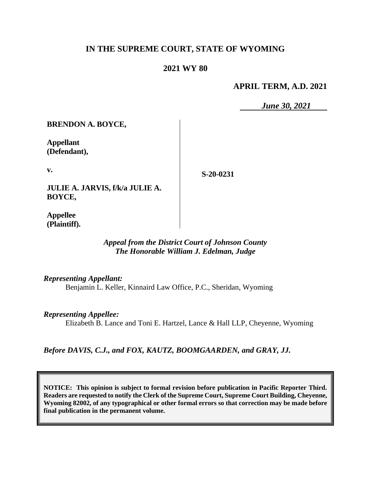## **IN THE SUPREME COURT, STATE OF WYOMING**

### **2021 WY 80**

#### **APRIL TERM, A.D. 2021**

*June 30, 2021*

**BRENDON A. BOYCE,**

**Appellant (Defendant),**

**v.**

**S-20-0231**

**JULIE A. JARVIS, f/k/a JULIE A. BOYCE,**

**Appellee (Plaintiff).**

#### *Appeal from the District Court of Johnson County The Honorable William J. Edelman, Judge*

*Representing Appellant:*

Benjamin L. Keller, Kinnaird Law Office, P.C., Sheridan, Wyoming

*Representing Appellee:*

Elizabeth B. Lance and Toni E. Hartzel, Lance & Hall LLP, Cheyenne, Wyoming

*Before DAVIS, C.J., and FOX, KAUTZ, BOOMGAARDEN, and GRAY, JJ.*

**NOTICE: This opinion is subject to formal revision before publication in Pacific Reporter Third. Readers are requested to notify the Clerk of the Supreme Court, Supreme Court Building, Cheyenne, Wyoming 82002, of any typographical or other formal errors so that correction may be made before final publication in the permanent volume.**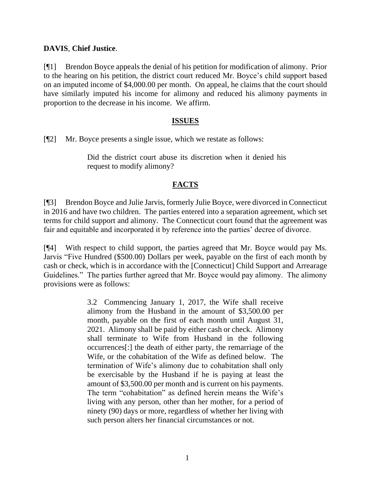### **DAVIS**, **Chief Justice**.

[¶1] Brendon Boyce appeals the denial of his petition for modification of alimony. Prior to the hearing on his petition, the district court reduced Mr. Boyce's child support based on an imputed income of \$4,000.00 per month. On appeal, he claims that the court should have similarly imputed his income for alimony and reduced his alimony payments in proportion to the decrease in his income. We affirm.

#### **ISSUES**

[¶2] Mr. Boyce presents a single issue, which we restate as follows:

Did the district court abuse its discretion when it denied his request to modify alimony?

## **FACTS**

[¶3] Brendon Boyce and Julie Jarvis, formerly Julie Boyce, were divorced in Connecticut in 2016 and have two children. The parties entered into a separation agreement, which set terms for child support and alimony. The Connecticut court found that the agreement was fair and equitable and incorporated it by reference into the parties' decree of divorce.

[¶4] With respect to child support, the parties agreed that Mr. Boyce would pay Ms. Jarvis "Five Hundred (\$500.00) Dollars per week, payable on the first of each month by cash or check, which is in accordance with the [Connecticut] Child Support and Arrearage Guidelines." The parties further agreed that Mr. Boyce would pay alimony. The alimony provisions were as follows:

> 3.2 Commencing January 1, 2017, the Wife shall receive alimony from the Husband in the amount of \$3,500.00 per month, payable on the first of each month until August 31, 2021. Alimony shall be paid by either cash or check. Alimony shall terminate to Wife from Husband in the following occurrences[:] the death of either party, the remarriage of the Wife, or the cohabitation of the Wife as defined below. The termination of Wife's alimony due to cohabitation shall only be exercisable by the Husband if he is paying at least the amount of \$3,500.00 per month and is current on his payments. The term "cohabitation" as defined herein means the Wife's living with any person, other than her mother, for a period of ninety (90) days or more, regardless of whether her living with such person alters her financial circumstances or not.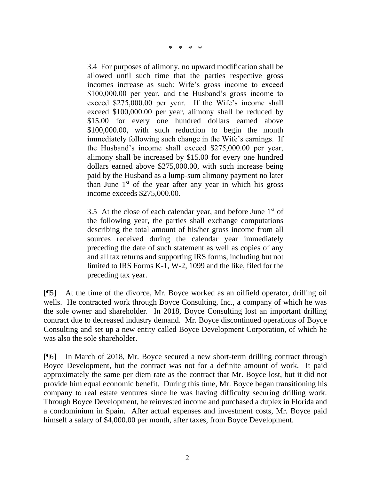\* \* \* \*

3.4 For purposes of alimony, no upward modification shall be allowed until such time that the parties respective gross incomes increase as such: Wife's gross income to exceed \$100,000.00 per year, and the Husband's gross income to exceed \$275,000.00 per year. If the Wife's income shall exceed \$100,000.00 per year, alimony shall be reduced by \$15.00 for every one hundred dollars earned above \$100,000.00, with such reduction to begin the month immediately following such change in the Wife's earnings. If the Husband's income shall exceed \$275,000.00 per year, alimony shall be increased by \$15.00 for every one hundred dollars earned above \$275,000.00, with such increase being paid by the Husband as a lump-sum alimony payment no later than June  $1<sup>st</sup>$  of the year after any year in which his gross income exceeds \$275,000.00.

3.5 At the close of each calendar year, and before June  $1<sup>st</sup>$  of the following year, the parties shall exchange computations describing the total amount of his/her gross income from all sources received during the calendar year immediately preceding the date of such statement as well as copies of any and all tax returns and supporting IRS forms, including but not limited to IRS Forms K-1, W-2, 1099 and the like, filed for the preceding tax year.

[¶5] At the time of the divorce, Mr. Boyce worked as an oilfield operator, drilling oil wells. He contracted work through Boyce Consulting, Inc., a company of which he was the sole owner and shareholder. In 2018, Boyce Consulting lost an important drilling contract due to decreased industry demand. Mr. Boyce discontinued operations of Boyce Consulting and set up a new entity called Boyce Development Corporation, of which he was also the sole shareholder.

[¶6] In March of 2018, Mr. Boyce secured a new short-term drilling contract through Boyce Development, but the contract was not for a definite amount of work. It paid approximately the same per diem rate as the contract that Mr. Boyce lost, but it did not provide him equal economic benefit. During this time, Mr. Boyce began transitioning his company to real estate ventures since he was having difficulty securing drilling work. Through Boyce Development, he reinvested income and purchased a duplex in Florida and a condominium in Spain. After actual expenses and investment costs, Mr. Boyce paid himself a salary of \$4,000.00 per month, after taxes, from Boyce Development.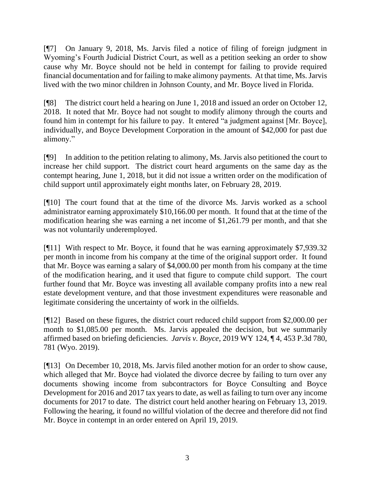[¶7] On January 9, 2018, Ms. Jarvis filed a notice of filing of foreign judgment in Wyoming's Fourth Judicial District Court, as well as a petition seeking an order to show cause why Mr. Boyce should not be held in contempt for failing to provide required financial documentation and for failing to make alimony payments. At that time, Ms. Jarvis lived with the two minor children in Johnson County, and Mr. Boyce lived in Florida.

[¶8] The district court held a hearing on June 1, 2018 and issued an order on October 12, 2018. It noted that Mr. Boyce had not sought to modify alimony through the courts and found him in contempt for his failure to pay. It entered "a judgment against [Mr. Boyce], individually, and Boyce Development Corporation in the amount of \$42,000 for past due alimony."

[¶9] In addition to the petition relating to alimony, Ms. Jarvis also petitioned the court to increase her child support. The district court heard arguments on the same day as the contempt hearing, June 1, 2018, but it did not issue a written order on the modification of child support until approximately eight months later, on February 28, 2019.

[¶10] The court found that at the time of the divorce Ms. Jarvis worked as a school administrator earning approximately \$10,166.00 per month. It found that at the time of the modification hearing she was earning a net income of \$1,261.79 per month, and that she was not voluntarily underemployed.

[¶11] With respect to Mr. Boyce, it found that he was earning approximately \$7,939.32 per month in income from his company at the time of the original support order. It found that Mr. Boyce was earning a salary of \$4,000.00 per month from his company at the time of the modification hearing, and it used that figure to compute child support. The court further found that Mr. Boyce was investing all available company profits into a new real estate development venture, and that those investment expenditures were reasonable and legitimate considering the uncertainty of work in the oilfields.

[¶12] Based on these figures, the district court reduced child support from \$2,000.00 per month to \$1,085.00 per month. Ms. Jarvis appealed the decision, but we summarily affirmed based on briefing deficiencies. *Jarvis v. Boyce*, 2019 WY 124, ¶ 4, 453 P.3d 780, 781 (Wyo. 2019).

[¶13] On December 10, 2018, Ms. Jarvis filed another motion for an order to show cause, which alleged that Mr. Boyce had violated the divorce decree by failing to turn over any documents showing income from subcontractors for Boyce Consulting and Boyce Development for 2016 and 2017 tax years to date, as well as failing to turn over any income documents for 2017 to date. The district court held another hearing on February 13, 2019. Following the hearing, it found no willful violation of the decree and therefore did not find Mr. Boyce in contempt in an order entered on April 19, 2019.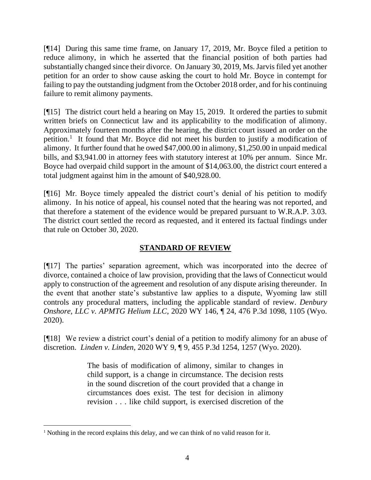[¶14] During this same time frame, on January 17, 2019, Mr. Boyce filed a petition to reduce alimony, in which he asserted that the financial position of both parties had substantially changed since their divorce. On January 30, 2019, Ms. Jarvis filed yet another petition for an order to show cause asking the court to hold Mr. Boyce in contempt for failing to pay the outstanding judgment from the October 2018 order, and for his continuing failure to remit alimony payments.

[¶15] The district court held a hearing on May 15, 2019. It ordered the parties to submit written briefs on Connecticut law and its applicability to the modification of alimony. Approximately fourteen months after the hearing, the district court issued an order on the petition.<sup>1</sup> It found that Mr. Boyce did not meet his burden to justify a modification of alimony. It further found that he owed \$47,000.00 in alimony, \$1,250.00 in unpaid medical bills, and \$3,941.00 in attorney fees with statutory interest at 10% per annum. Since Mr. Boyce had overpaid child support in the amount of \$14,063.00, the district court entered a total judgment against him in the amount of \$40,928.00.

[¶16] Mr. Boyce timely appealed the district court's denial of his petition to modify alimony. In his notice of appeal, his counsel noted that the hearing was not reported, and that therefore a statement of the evidence would be prepared pursuant to W.R.A.P. 3.03. The district court settled the record as requested, and it entered its factual findings under that rule on October 30, 2020.

# **STANDARD OF REVIEW**

[¶17] The parties' separation agreement, which was incorporated into the decree of divorce, contained a choice of law provision, providing that the laws of Connecticut would apply to construction of the agreement and resolution of any dispute arising thereunder. In the event that another state's substantive law applies to a dispute, Wyoming law still controls any procedural matters, including the applicable standard of review. *Denbury Onshore, LLC v. APMTG Helium LLC*, 2020 WY 146, ¶ 24, 476 P.3d 1098, 1105 (Wyo. 2020).

[¶18] We review a district court's denial of a petition to modify alimony for an abuse of discretion. *Linden v. Linden*, 2020 WY 9, ¶ 9, 455 P.3d 1254, 1257 (Wyo. 2020).

> The basis of modification of alimony, similar to changes in child support, is a change in circumstance. The decision rests in the sound discretion of the court provided that a change in circumstances does exist. The test for decision in alimony revision . . . like child support, is exercised discretion of the

<sup>1</sup> Nothing in the record explains this delay, and we can think of no valid reason for it.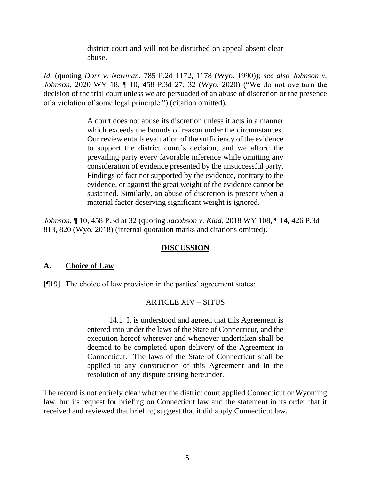district court and will not be disturbed on appeal absent clear abuse.

*Id.* (quoting *Dorr v. Newman*, 785 P.2d 1172, 1178 (Wyo. 1990)); *see also Johnson v. Johnson*, 2020 WY 18, ¶ 10, 458 P.3d 27, 32 (Wyo. 2020) ("We do not overturn the decision of the trial court unless we are persuaded of an abuse of discretion or the presence of a violation of some legal principle.") (citation omitted).

> A court does not abuse its discretion unless it acts in a manner which exceeds the bounds of reason under the circumstances. Our review entails evaluation of the sufficiency of the evidence to support the district court's decision, and we afford the prevailing party every favorable inference while omitting any consideration of evidence presented by the unsuccessful party. Findings of fact not supported by the evidence, contrary to the evidence, or against the great weight of the evidence cannot be sustained. Similarly, an abuse of discretion is present when a material factor deserving significant weight is ignored.

*Johnson*, ¶ 10, 458 P.3d at 32 (quoting *Jacobson v. Kidd*, 2018 WY 108, ¶ 14, 426 P.3d 813, 820 (Wyo. 2018) (internal quotation marks and citations omitted).

# **DISCUSSION**

### **A. Choice of Law**

[¶19] The choice of law provision in the parties' agreement states:

# ARTICLE XIV – SITUS

14.1 It is understood and agreed that this Agreement is entered into under the laws of the State of Connecticut, and the execution hereof wherever and whenever undertaken shall be deemed to be completed upon delivery of the Agreement in Connecticut. The laws of the State of Connecticut shall be applied to any construction of this Agreement and in the resolution of any dispute arising hereunder.

The record is not entirely clear whether the district court applied Connecticut or Wyoming law, but its request for briefing on Connecticut law and the statement in its order that it received and reviewed that briefing suggest that it did apply Connecticut law.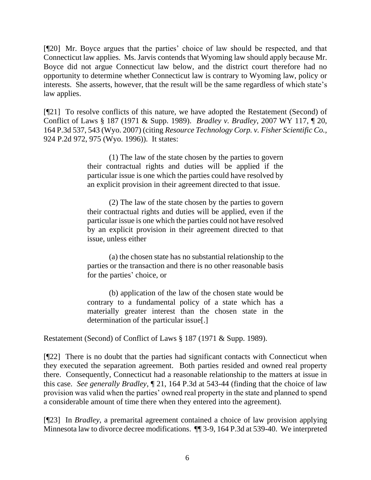[¶20] Mr. Boyce argues that the parties' choice of law should be respected, and that Connecticut law applies. Ms. Jarvis contends that Wyoming law should apply because Mr. Boyce did not argue Connecticut law below, and the district court therefore had no opportunity to determine whether Connecticut law is contrary to Wyoming law, policy or interests. She asserts, however, that the result will be the same regardless of which state's law applies.

[¶21] To resolve conflicts of this nature, we have adopted the Restatement (Second) of Conflict of Laws § 187 (1971 & Supp. 1989). *Bradley v. Bradley*, 2007 WY 117, ¶ 20, 164 P.3d 537, 543 (Wyo. 2007) (citing *Resource Technology Corp. v. Fisher Scientific Co.,* 924 P.2d 972, 975 (Wyo. 1996)). It states:

> (1) The law of the state chosen by the parties to govern their contractual rights and duties will be applied if the particular issue is one which the parties could have resolved by an explicit provision in their agreement directed to that issue.

> (2) The law of the state chosen by the parties to govern their contractual rights and duties will be applied, even if the particular issue is one which the parties could not have resolved by an explicit provision in their agreement directed to that issue, unless either

> (a) the chosen state has no substantial relationship to the parties or the transaction and there is no other reasonable basis for the parties' choice, or

> (b) application of the law of the chosen state would be contrary to a fundamental policy of a state which has a materially greater interest than the chosen state in the determination of the particular issue[.]

Restatement (Second) of Conflict of Laws § 187 (1971 & Supp. 1989).

[¶22] There is no doubt that the parties had significant contacts with Connecticut when they executed the separation agreement. Both parties resided and owned real property there. Consequently, Connecticut had a reasonable relationship to the matters at issue in this case. *See generally Bradley*, ¶ 21, 164 P.3d at 543-44 (finding that the choice of law provision was valid when the parties' owned real property in the state and planned to spend a considerable amount of time there when they entered into the agreement).

[¶23] In *Bradley*, a premarital agreement contained a choice of law provision applying Minnesota law to divorce decree modifications. ¶¶ 3-9, 164 P.3d at 539-40. We interpreted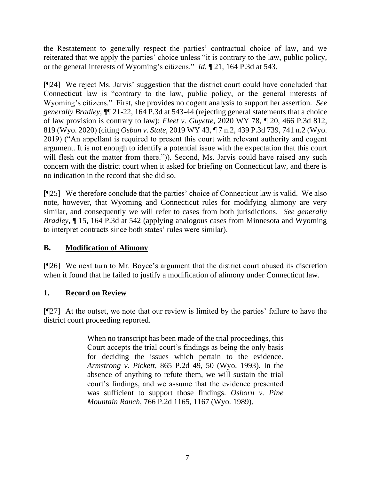the Restatement to generally respect the parties' contractual choice of law, and we reiterated that we apply the parties' choice unless "it is contrary to the law, public policy, or the general interests of Wyoming's citizens." *Id.* ¶ 21, 164 P.3d at 543.

[¶24] We reject Ms. Jarvis' suggestion that the district court could have concluded that Connecticut law is "contrary to the law, public policy, or the general interests of Wyoming's citizens." First, she provides no cogent analysis to support her assertion. *See generally Bradley,* ¶¶ 21-22, 164 P.3d at 543-44 (rejecting general statements that a choice of law provision is contrary to law); *Fleet v. Guyette*, 2020 WY 78, ¶ 20, 466 P.3d 812, 819 (Wyo. 2020) (citing *Osban v. State*, 2019 WY 43, ¶ 7 n.2, 439 P.3d 739, 741 n.2 (Wyo. 2019) ("An appellant is required to present this court with relevant authority and cogent argument. It is not enough to identify a potential issue with the expectation that this court will flesh out the matter from there.")). Second, Ms. Jarvis could have raised any such concern with the district court when it asked for briefing on Connecticut law, and there is no indication in the record that she did so.

[¶25] We therefore conclude that the parties' choice of Connecticut law is valid. We also note, however, that Wyoming and Connecticut rules for modifying alimony are very similar, and consequently we will refer to cases from both jurisdictions. *See generally Bradley*, ¶ 15, 164 P.3d at 542 (applying analogous cases from Minnesota and Wyoming to interpret contracts since both states' rules were similar).

# **B. Modification of Alimony**

[¶26] We next turn to Mr. Boyce's argument that the district court abused its discretion when it found that he failed to justify a modification of alimony under Connecticut law.

# **1. Record on Review**

[¶27] At the outset, we note that our review is limited by the parties' failure to have the district court proceeding reported.

> When no transcript has been made of the trial proceedings, this Court accepts the trial court's findings as being the only basis for deciding the issues which pertain to the evidence. *Armstrong v. Pickett*[, 865 P.2d 49, 50 \(Wyo.](http://www.westlaw.com/Link/Document/FullText?findType=Y&serNum=1993229577&pubNum=0000661&originatingDoc=Ie558d114f58c11d983e7e9deff98dc6f&refType=RP&fi=co_pp_sp_661_50&originationContext=document&vr=3.0&rs=cblt1.0&transitionType=DocumentItem&contextData=(sc.Keycite)#co_pp_sp_661_50) 1993). In the absence of anything to refute them, we will sustain the trial court's findings, and we assume that the evidence presented was sufficient to support those findings. *[Osborn v. Pine](http://www.westlaw.com/Link/Document/FullText?findType=Y&serNum=1989007432&pubNum=0000661&originatingDoc=Ie558d114f58c11d983e7e9deff98dc6f&refType=RP&fi=co_pp_sp_661_1167&originationContext=document&vr=3.0&rs=cblt1.0&transitionType=DocumentItem&contextData=(sc.Keycite)#co_pp_sp_661_1167)  Mountain Ranch*[, 766 P.2d 1165, 1167 \(Wyo.](http://www.westlaw.com/Link/Document/FullText?findType=Y&serNum=1989007432&pubNum=0000661&originatingDoc=Ie558d114f58c11d983e7e9deff98dc6f&refType=RP&fi=co_pp_sp_661_1167&originationContext=document&vr=3.0&rs=cblt1.0&transitionType=DocumentItem&contextData=(sc.Keycite)#co_pp_sp_661_1167) 1989).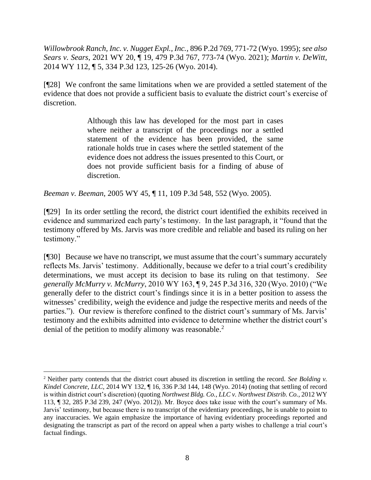*Willowbrook Ranch, Inc. v. Nugget Expl., Inc.*, 896 P.2d 769, 771-72 (Wyo. 1995); *see also Sears v. Sears*, 2021 WY 20, ¶ 19, 479 P.3d 767, 773-74 (Wyo. 2021); *Martin v. DeWitt*, 2014 WY 112, ¶ 5, 334 P.3d 123, 125-26 (Wyo. 2014).

[¶28] We confront the same limitations when we are provided a settled statement of the evidence that does not provide a sufficient basis to evaluate the district court's exercise of discretion.

> Although this law has developed for the most part in cases where neither a transcript of the proceedings nor a settled statement of the evidence has been provided, the same rationale holds true in cases where the settled statement of the evidence does not address the issues presented to this Court, or does not provide sufficient basis for a finding of abuse of discretion.

*Beeman v. Beeman*, 2005 WY 45, ¶ 11, 109 P.3d 548, 552 (Wyo. 2005).

[¶29] In its order settling the record, the district court identified the exhibits received in evidence and summarized each party's testimony. In the last paragraph, it "found that the testimony offered by Ms. Jarvis was more credible and reliable and based its ruling on her testimony."

[¶30] Because we have no transcript, we must assume that the court's summary accurately reflects Ms. Jarvis' testimony. Additionally, because we defer to a trial court's credibility determinations, we must accept its decision to base its ruling on that testimony. *See generally McMurry v. McMurry*, 2010 WY 163, ¶ 9, 245 P.3d 316, 320 (Wyo. 2010) ("We generally defer to the district court's findings since it is in a better position to assess the witnesses' credibility, weigh the evidence and judge the respective merits and needs of the parties."). Our review is therefore confined to the district court's summary of Ms. Jarvis' testimony and the exhibits admitted into evidence to determine whether the district court's denial of the petition to modify alimony was reasonable.<sup>2</sup>

<sup>2</sup> Neither party contends that the district court abused its discretion in settling the record. *See Bolding v. Kindel Concrete, LLC*, 2014 WY 132, ¶ 16, 336 P.3d 144, 148 (Wyo. 2014) (noting that settling of record is within district court's discretion) (quoting *[Northwest Bldg. Co., LLC v. Northwest Distrib. Co.](http://www.westlaw.com/Link/Document/FullText?findType=Y&serNum=2028499166&pubNum=0004645&originatingDoc=I503f7d4c5e5011e4b86bd602cb8781fa&refType=RP&fi=co_pp_sp_4645_247&originationContext=document&vr=3.0&rs=cblt1.0&transitionType=DocumentItem&contextData=(sc.Keycite)#co_pp_sp_4645_247)*, 2012 WY [113, ¶ 32, 285 P.3d 239, 247 \(Wyo.](http://www.westlaw.com/Link/Document/FullText?findType=Y&serNum=2028499166&pubNum=0004645&originatingDoc=I503f7d4c5e5011e4b86bd602cb8781fa&refType=RP&fi=co_pp_sp_4645_247&originationContext=document&vr=3.0&rs=cblt1.0&transitionType=DocumentItem&contextData=(sc.Keycite)#co_pp_sp_4645_247) 2012)). Mr. Boyce does take issue with the court's summary of Ms. Jarvis' testimony, but because there is no transcript of the evidentiary proceedings, he is unable to point to any inaccuracies. We again emphasize the importance of having evidentiary proceedings reported and designating the transcript as part of the record on appeal when a party wishes to challenge a trial court's factual findings.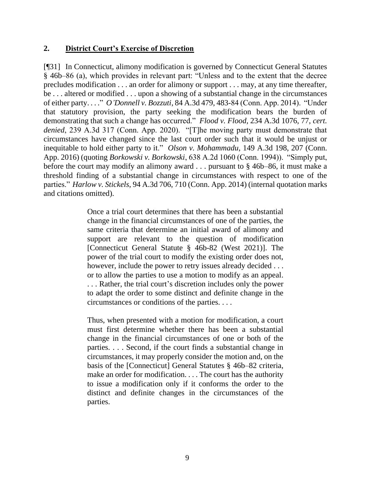### **2. District Court's Exercise of Discretion**

[¶31] In Connecticut, alimony modification is governed by Connecticut General Statutes § 46b–86 (a), which provides in relevant part: "Unless and to the extent that the decree precludes modification . . . an order for alimony or support . . . may, at any time thereafter, be . . . altered or modified . . . upon a showing of a substantial change in the circumstances of either party. . . ." *O'Donnell v. Bozzuti*, 84 A.3d 479, 483-84 (Conn. App. 2014). "Under that statutory provision, the party seeking the modification bears the burden of demonstrating that such a change has occurred." *Flood v. Flood*, 234 A.3d 1076, 77, *cert. denied*, 239 A.3d 317 (Conn. App. 2020). "[T]he moving party must demonstrate that circumstances have changed since the last court order such that it would be unjust or inequitable to hold either party to it." *Olson v. Mohammadu*, 149 A.3d 198, 207 (Conn. App. 2016) (quoting *Borkowski v. Borkowski*, 638 A.2d 1060 (Conn. 1994)). "Simply put, before the court may modify an alimony award . . . pursuant to § 46b–86, it must make a threshold finding of a substantial change in circumstances with respect to one of the parties." *Harlow v. Stickels*, 94 A.3d 706, 710 (Conn. App. 2014) (internal quotation marks and citations omitted).

> Once a trial court determines that there has been a substantial change in the financial circumstances of one of the parties, the same criteria that determine an initial award of alimony and support are relevant to the question of modification [Connecticut General Statute § 46b-82 (West 2021)]. The power of the trial court to modify the existing order does not, however, include the power to retry issues already decided . . . or to allow the parties to use a motion to modify as an appeal. . . . Rather, the trial court's discretion includes only the power to adapt the order to some distinct and definite change in the circumstances or conditions of the parties. . . .

> Thus, when presented with a motion for modification, a court must first determine whether there has been a substantial change in the financial circumstances of one or both of the parties. . . . Second, if the court finds a substantial change in circumstances, it may properly consider the motion and, on the basis of the [Connecticut] General Statutes § 46b–82 criteria, make an order for modification. . . . The court has the authority to issue a modification only if it conforms the order to the distinct and definite changes in the circumstances of the parties.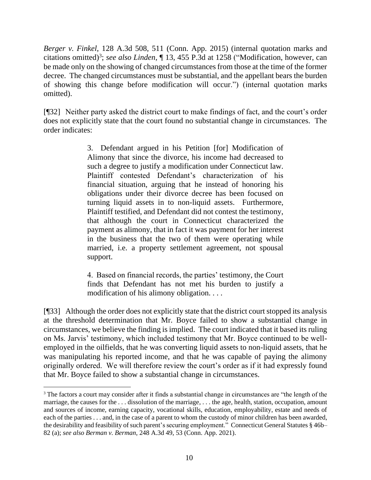*Berger v. Finkel*, 128 A.3d 508, 511 (Conn. App. 2015) (internal quotation marks and citations omitted)<sup>3</sup>; *see also Linden*, ¶ 13, 455 P.3d at 1258 ("Modification, however, can be made only on the showing of changed circumstances from those at the time of the former decree. The changed circumstances must be substantial, and the appellant bears the burden of showing this change before modification will occur.") (internal quotation marks omitted).

[¶32] Neither party asked the district court to make findings of fact, and the court's order does not explicitly state that the court found no substantial change in circumstances. The order indicates:

> 3. Defendant argued in his Petition [for] Modification of Alimony that since the divorce, his income had decreased to such a degree to justify a modification under Connecticut law. Plaintiff contested Defendant's characterization of his financial situation, arguing that he instead of honoring his obligations under their divorce decree has been focused on turning liquid assets in to non-liquid assets. Furthermore, Plaintiff testified, and Defendant did not contest the testimony, that although the court in Connecticut characterized the payment as alimony, that in fact it was payment for her interest in the business that the two of them were operating while married, i.e. a property settlement agreement, not spousal support.

> 4. Based on financial records, the parties' testimony, the Court finds that Defendant has not met his burden to justify a modification of his alimony obligation. . . .

[¶33] Although the order does not explicitly state that the district court stopped its analysis at the threshold determination that Mr. Boyce failed to show a substantial change in circumstances, we believe the finding is implied. The court indicated that it based its ruling on Ms. Jarvis' testimony, which included testimony that Mr. Boyce continued to be wellemployed in the oilfields, that he was converting liquid assets to non-liquid assets, that he was manipulating his reported income, and that he was capable of paying the alimony originally ordered. We will therefore review the court's order as if it had expressly found that Mr. Boyce failed to show a substantial change in circumstances.

<sup>&</sup>lt;sup>3</sup> The factors a court may consider after it finds a substantial change in circumstances are "the length of the marriage, the causes for the . . . dissolution of the marriage, . . . the age, health, station, occupation, amount and sources of income, earning capacity, vocational skills, education, employability, estate and needs of each of the parties . . . and, in the case of a parent to whom the custody of minor children has been awarded, the desirability and feasibility of such parent's securing employment." Connecticut General Statutes § 46b– 82 (a); *see also Berman v. Berman*, 248 A.3d 49, 53 (Conn. App. 2021).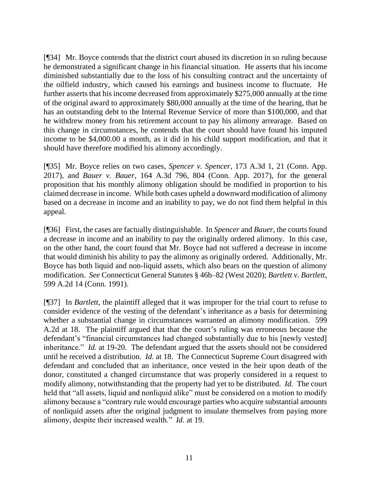[¶34] Mr. Boyce contends that the district court abused its discretion in so ruling because he demonstrated a significant change in his financial situation. He asserts that his income diminished substantially due to the loss of his consulting contract and the uncertainty of the oilfield industry, which caused his earnings and business income to fluctuate. He further asserts that his income decreased from approximately \$275,000 annually at the time of the original award to approximately \$80,000 annually at the time of the hearing, that he has an outstanding debt to the Internal Revenue Service of more than \$100,000, and that he withdrew money from his retirement account to pay his alimony arrearage. Based on this change in circumstances, he contends that the court should have found his imputed income to be \$4,000.00 a month, as it did in his child support modification, and that it should have therefore modified his alimony accordingly.

[¶35] Mr. Boyce relies on two cases, *Spencer v. Spencer*, 173 A.3d 1, 21 (Conn. App. 2017), and *Bauer v. Bauer*, 164 A.3d 796, 804 (Conn. App. 2017), for the general proposition that his monthly alimony obligation should be modified in proportion to his claimed decrease in income. While both cases upheld a downward modification of alimony based on a decrease in income and an inability to pay, we do not find them helpful in this appeal.

[¶36] First, the cases are factually distinguishable. In *Spencer* and *Bauer*, the courts found a decrease in income and an inability to pay the originally ordered alimony. In this case, on the other hand, the court found that Mr. Boyce had not suffered a decrease in income that would diminish his ability to pay the alimony as originally ordered. Additionally, Mr. Boyce has both liquid and non-liquid assets, which also bears on the question of alimony modification. *See* Connecticut General Statutes § 46b–82 (West 2020); *Bartlett v. Bartlett*, 599 A.2d 14 (Conn. 1991).

[¶37] In *Bartlett*, the plaintiff alleged that it was improper for the trial court to refuse to consider evidence of the vesting of the defendant's inheritance as a basis for determining whether a substantial change in circumstances warranted an alimony modification. 599 A.2d at 18. The plaintiff argued that that the court's ruling was erroneous because the defendant's "financial circumstances had changed substantially due to his [newly vested] inheritance." *Id.* at 19-20. The defendant argued that the assets should not be considered until he received a distribution. *Id.* at 18. The Connecticut Supreme Court disagreed with defendant and concluded that an inheritance, once vested in the heir upon death of the donor, constituted a changed circumstance that was properly considered in a request to modify alimony, notwithstanding that the property had yet to be distributed. *Id.* The court held that "all assets, liquid and nonliquid alike" must be considered on a motion to modify alimony because a "contrary rule would encourage parties who acquire substantial amounts of nonliquid assets after the original judgment to insulate themselves from paying more alimony, despite their increased wealth." *Id.* at 19.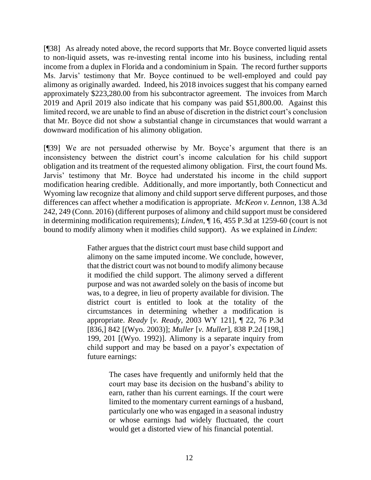[¶38] As already noted above, the record supports that Mr. Boyce converted liquid assets to non-liquid assets, was re-investing rental income into his business, including rental income from a duplex in Florida and a condominium in Spain. The record further supports Ms. Jarvis' testimony that Mr. Boyce continued to be well-employed and could pay alimony as originally awarded. Indeed, his 2018 invoices suggest that his company earned approximately \$223,280.00 from his subcontractor agreement. The invoices from March 2019 and April 2019 also indicate that his company was paid \$51,800.00. Against this limited record, we are unable to find an abuse of discretion in the district court's conclusion that Mr. Boyce did not show a substantial change in circumstances that would warrant a downward modification of his alimony obligation.

[¶39] We are not persuaded otherwise by Mr. Boyce's argument that there is an inconsistency between the district court's income calculation for his child support obligation and its treatment of the requested alimony obligation. First, the court found Ms. Jarvis' testimony that Mr. Boyce had understated his income in the child support modification hearing credible. Additionally, and more importantly, both Connecticut and Wyoming law recognize that alimony and child support serve different purposes, and those differences can affect whether a modification is appropriate. *McKeon v. Lennon*, 138 A.3d 242, 249 (Conn. 2016) (different purposes of alimony and child support must be considered in determining modification requirements); *Linden*, ¶ 16, 455 P.3d at 1259-60 (court is not bound to modify alimony when it modifies child support). As we explained in *Linden*:

> Father argues that the district court must base child support and alimony on the same imputed income. We conclude, however, that the district court was not bound to modify alimony because it modified the child support. The alimony served a different purpose and was not awarded solely on the basis of income but was, to a degree, in lieu of property available for division. The district court is entitled to look at the totality of the circumstances in determining whether a modification is appropriate. *Ready* [*v. Ready*, 2003 WY 121], ¶ 22, 76 P.3d [836,] 842 [(Wyo. 2003)]; *Muller* [*v. Muller*], 838 P.2d [198,] 199, 201 [(Wyo. 1992)]. Alimony is a separate inquiry from child support and may be based on a payor's expectation of future earnings:

> > The cases have frequently and uniformly held that the court may base its decision on the husband's ability to earn, rather than his current earnings. If the court were limited to the momentary current earnings of a husband, particularly one who was engaged in a seasonal industry or whose earnings had widely fluctuated, the court would get a distorted view of his financial potential.